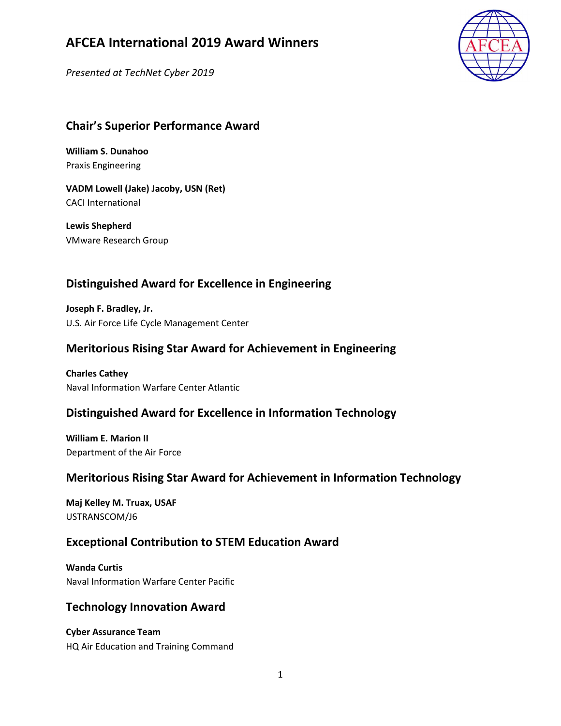Presented at TechNet Cyber 2019



## Chair's Superior Performance Award

William S. Dunahoo Praxis Engineering

VADM Lowell (Jake) Jacoby, USN (Ret) CACI International

Lewis Shepherd VMware Research Group

## Distinguished Award for Excellence in Engineering

Joseph F. Bradley, Jr. U.S. Air Force Life Cycle Management Center

### Meritorious Rising Star Award for Achievement in Engineering

Charles Cathey Naval Information Warfare Center Atlantic

### Distinguished Award for Excellence in Information Technology

William E. Marion II Department of the Air Force

### Meritorious Rising Star Award for Achievement in Information Technology

Maj Kelley M. Truax, USAF USTRANSCOM/J6

### Exceptional Contribution to STEM Education Award

Wanda Curtis Naval Information Warfare Center Pacific

#### Technology Innovation Award

Cyber Assurance Team HQ Air Education and Training Command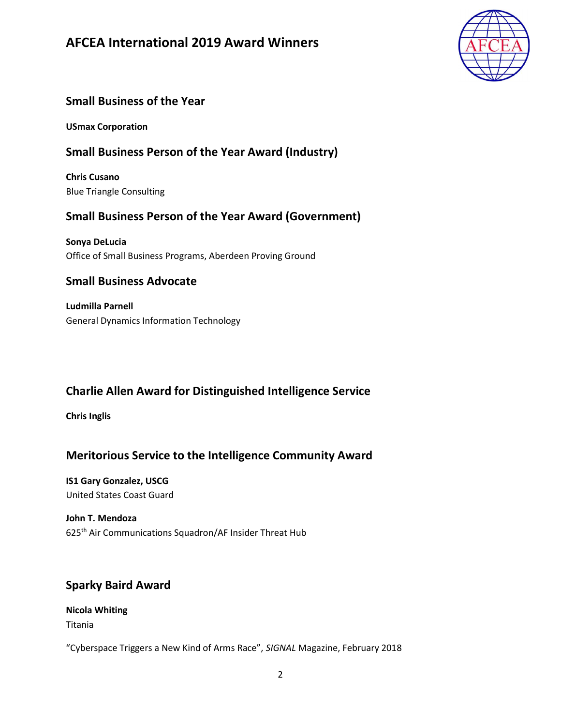

## Small Business of the Year

USmax Corporation

## Small Business Person of the Year Award (Industry)

Chris Cusano Blue Triangle Consulting

### Small Business Person of the Year Award (Government)

Sonya DeLucia Office of Small Business Programs, Aberdeen Proving Ground

### Small Business Advocate

Ludmilla Parnell General Dynamics Information Technology

# Charlie Allen Award for Distinguished Intelligence Service

Chris Inglis

### Meritorious Service to the Intelligence Community Award

IS1 Gary Gonzalez, USCG United States Coast Guard

# John T. Mendoza

625th Air Communications Squadron/AF Insider Threat Hub

### Sparky Baird Award

#### Nicola Whiting

Titania

"Cyberspace Triggers a New Kind of Arms Race", SIGNAL Magazine, February 2018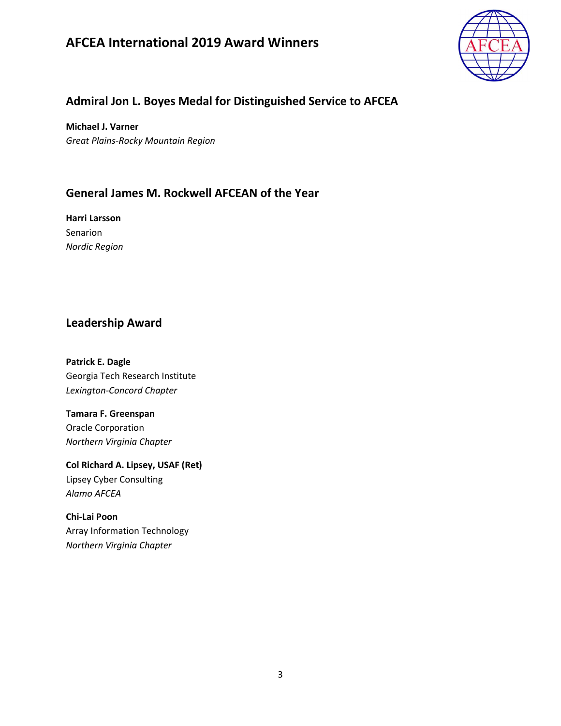

## Admiral Jon L. Boyes Medal for Distinguished Service to AFCEA

Michael J. Varner Great Plains-Rocky Mountain Region

## General James M. Rockwell AFCEAN of the Year

Harri Larsson Senarion Nordic Region

#### Leadership Award

Patrick E. Dagle Georgia Tech Research Institute Lexington-Concord Chapter

Tamara F. Greenspan Oracle Corporation Northern Virginia Chapter

Col Richard A. Lipsey, USAF (Ret) Lipsey Cyber Consulting Alamo AFCEA

Chi-Lai Poon Array Information Technology Northern Virginia Chapter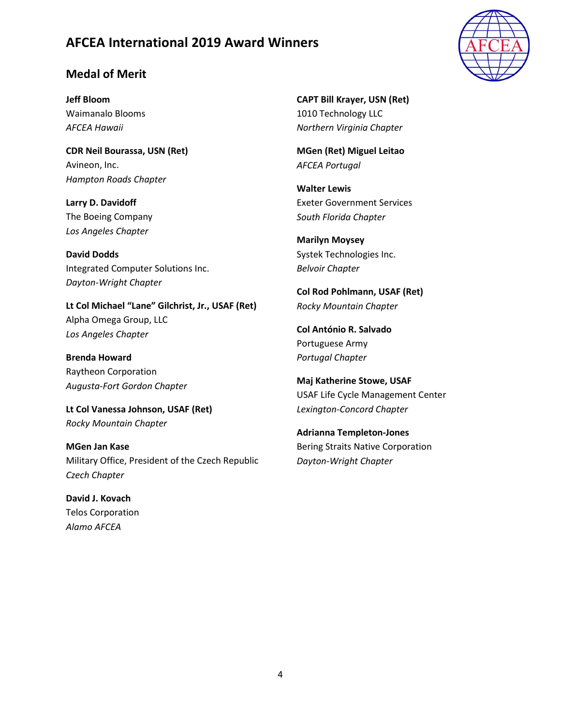#### Medal of Merit

Jeff Bloom Waimanalo Blooms AFCEA Hawaii

CDR Neil Bourassa, USN (Ret) Avineon, Inc. Hampton Roads Chapter

Larry D. Davidoff The Boeing Company Los Angeles Chapter

David Dodds Integrated Computer Solutions Inc. Dayton-Wright Chapter

Lt Col Michael "Lane" Gilchrist, Jr., USAF (Ret) Alpha Omega Group, LLC Los Angeles Chapter

Brenda Howard Raytheon Corporation Augusta-Fort Gordon Chapter

Lt Col Vanessa Johnson, USAF (Ret) Rocky Mountain Chapter

MGen Jan Kase Military Office, President of the Czech Republic Czech Chapter

David J. Kovach Telos Corporation Alamo AFCEA

CAPT Bill Krayer, USN (Ret) 1010 Technology LLC Northern Virginia Chapter

MGen (Ret) Miguel Leitao AFCEA Portugal

Walter Lewis Exeter Government Services South Florida Chapter

Marilyn Moysey Systek Technologies Inc. Belvoir Chapter

Col Rod Pohlmann, USAF (Ret) Rocky Mountain Chapter

Col António R. Salvado Portuguese Army Portugal Chapter

Maj Katherine Stowe, USAF USAF Life Cycle Management Center Lexington-Concord Chapter

Adrianna Templeton-Jones Bering Straits Native Corporation Dayton-Wright Chapter

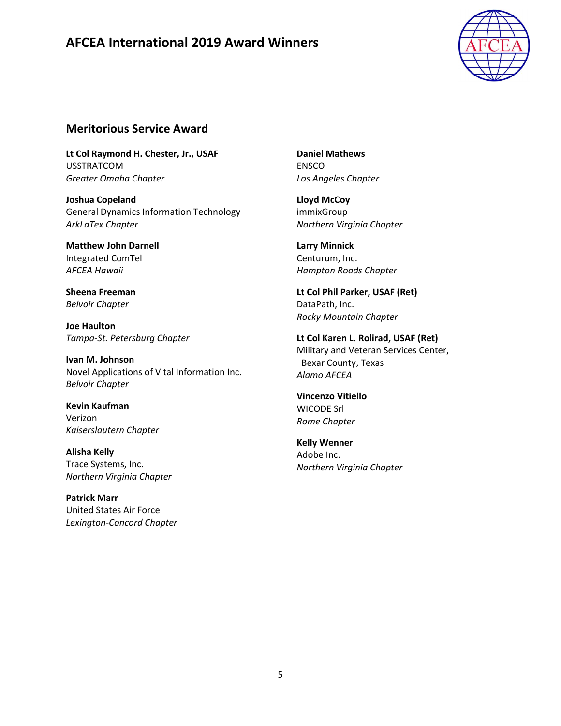

#### Meritorious Service Award

Lt Col Raymond H. Chester, Jr., USAF USSTRATCOM Greater Omaha Chapter

Joshua Copeland General Dynamics Information Technology ArkLaTex Chapter

Matthew John Darnell Integrated ComTel AFCEA Hawaii

Sheena Freeman Belvoir Chapter

Joe Haulton Tampa-St. Petersburg Chapter

Ivan M. Johnson Novel Applications of Vital Information Inc. Belvoir Chapter

Kevin Kaufman Verizon Kaiserslautern Chapter

Alisha Kelly Trace Systems, Inc. Northern Virginia Chapter

Patrick Marr United States Air Force Lexington-Concord Chapter Daniel Mathews ENSCO Los Angeles Chapter

Lloyd McCoy immixGroup Northern Virginia Chapter

Larry Minnick Centurum, Inc. Hampton Roads Chapter

Lt Col Phil Parker, USAF (Ret) DataPath, Inc. Rocky Mountain Chapter

Lt Col Karen L. Rolirad, USAF (Ret) Military and Veteran Services Center, Bexar County, Texas Alamo AFCEA

Vincenzo Vitiello WICODE Srl Rome Chapter

Kelly Wenner Adobe Inc. Northern Virginia Chapter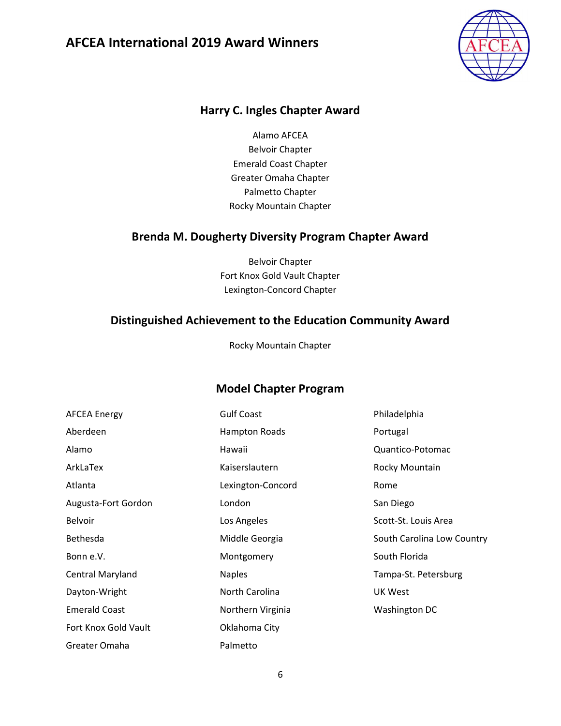

#### Harry C. Ingles Chapter Award

Alamo AFCEA Belvoir Chapter Emerald Coast Chapter Greater Omaha Chapter Palmetto Chapter Rocky Mountain Chapter

#### Brenda M. Dougherty Diversity Program Chapter Award

Belvoir Chapter Fort Knox Gold Vault Chapter Lexington-Concord Chapter

#### Distinguished Achievement to the Education Community Award

Rocky Mountain Chapter

### Model Chapter Program

| <b>AFCEA Energy</b>  | <b>Gulf Coast</b> | Philadelphia               |
|----------------------|-------------------|----------------------------|
| Aberdeen             | Hampton Roads     | Portugal                   |
| Alamo                | Hawaii            | Quantico-Potomac           |
| ArkLaTex             | Kaiserslautern    | Rocky Mountain             |
| Atlanta              | Lexington-Concord | Rome                       |
| Augusta-Fort Gordon  | London            | San Diego                  |
| <b>Belvoir</b>       | Los Angeles       | Scott-St. Louis Area       |
| <b>Bethesda</b>      | Middle Georgia    | South Carolina Low Country |
| Bonn e.V.            | Montgomery        | South Florida              |
| Central Maryland     | <b>Naples</b>     | Tampa-St. Petersburg       |
| Dayton-Wright        | North Carolina    | UK West                    |
| <b>Emerald Coast</b> | Northern Virginia | Washington DC              |
| Fort Knox Gold Vault | Oklahoma City     |                            |
| Greater Omaha        | Palmetto          |                            |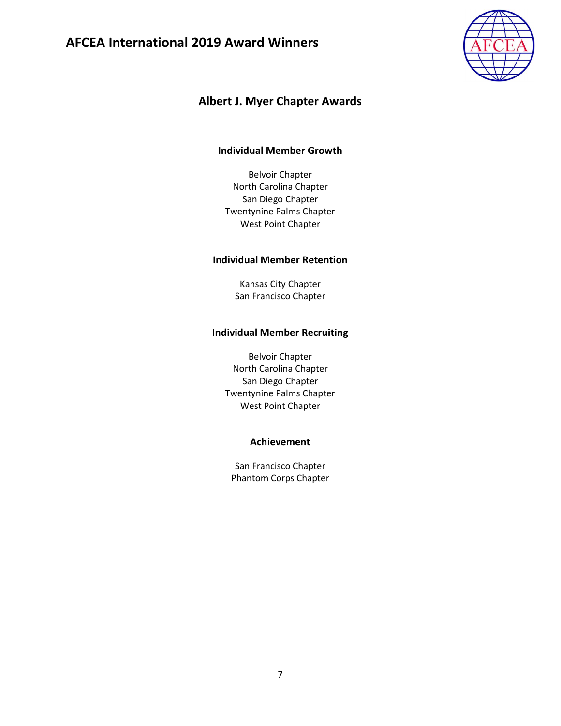

## Albert J. Myer Chapter Awards

#### Individual Member Growth

Belvoir Chapter North Carolina Chapter San Diego Chapter Twentynine Palms Chapter West Point Chapter

#### Individual Member Retention

Kansas City Chapter San Francisco Chapter

#### Individual Member Recruiting

Belvoir Chapter North Carolina Chapter San Diego Chapter Twentynine Palms Chapter West Point Chapter

#### Achievement

San Francisco Chapter Phantom Corps Chapter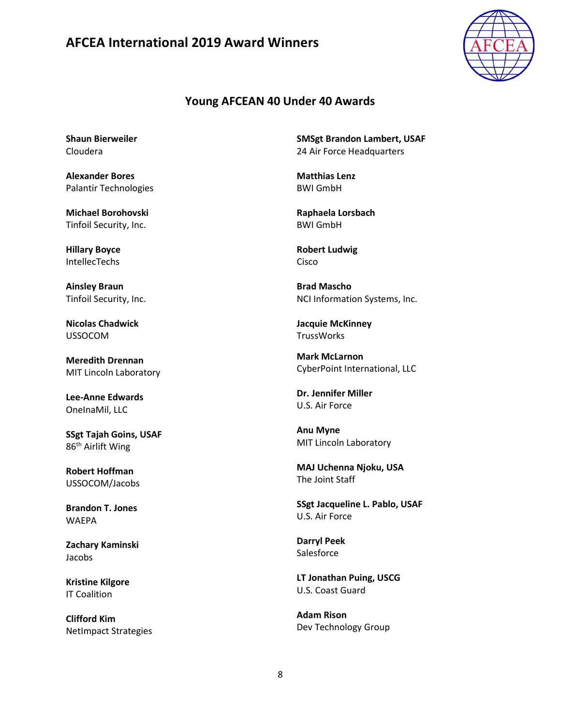

#### Young AFCEAN 40 Under 40 Awards

Shaun Bierweiler Cloudera

Alexander Bores Palantir Technologies

Michael Borohovski Tinfoil Security, Inc.

Hillary Boyce IntellecTechs

Ainsley Braun Tinfoil Security, Inc.

Nicolas Chadwick USSOCOM

Meredith Drennan MIT Lincoln Laboratory

Lee-Anne Edwards OneInaMil, LLC

SSgt Tajah Goins, USAF 86th Airlift Wing

Robert Hoffman USSOCOM/Jacobs

Brandon T. Jones WAEPA

Zachary Kaminski Jacobs

Kristine Kilgore IT Coalition

Clifford Kim NetImpact Strategies SMSgt Brandon Lambert, USAF 24 Air Force Headquarters

Matthias Lenz BWI GmbH

Raphaela Lorsbach BWI GmbH

Robert Ludwig Cisco

Brad Mascho NCI Information Systems, Inc.

Jacquie McKinney **TrussWorks** 

Mark McLarnon CyberPoint International, LLC

Dr. Jennifer Miller U.S. Air Force

Anu Myne MIT Lincoln Laboratory

MAJ Uchenna Njoku, USA The Joint Staff

SSgt Jacqueline L. Pablo, USAF U.S. Air Force

Darryl Peek **Salesforce** 

LT Jonathan Puing, USCG U.S. Coast Guard

Adam Rison Dev Technology Group